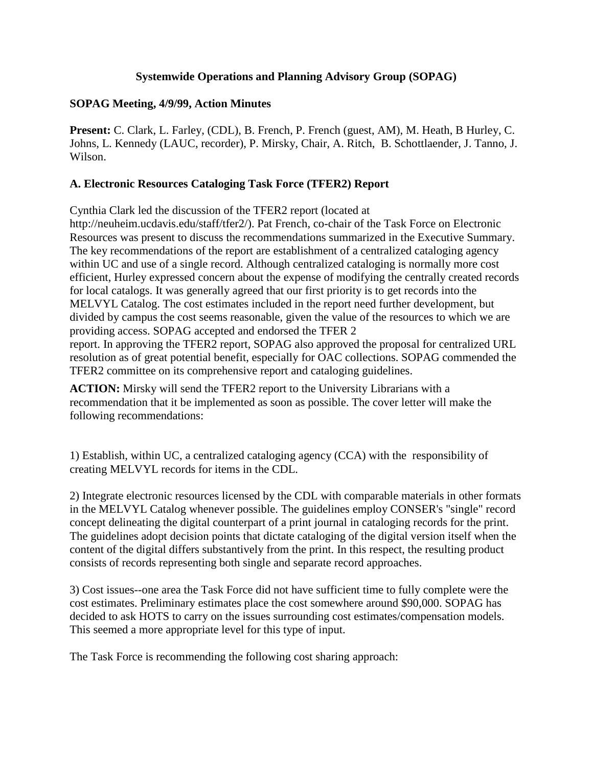### **Systemwide Operations and Planning Advisory Group (SOPAG)**

### **SOPAG Meeting, 4/9/99, Action Minutes**

**Present:** C. Clark, L. Farley, (CDL), B. French, P. French (guest, AM), M. Heath, B Hurley, C. Johns, L. Kennedy (LAUC, recorder), P. Mirsky, Chair, A. Ritch, B. Schottlaender, J. Tanno, J. Wilson.

## **A. Electronic Resources Cataloging Task Force (TFER2) Report**

Cynthia Clark led the discussion of the TFER2 report (located at

http://neuheim.ucdavis.edu/staff/tfer2/). Pat French, co-chair of the Task Force on Electronic Resources was present to discuss the recommendations summarized in the Executive Summary. The key recommendations of the report are establishment of a centralized cataloging agency within UC and use of a single record. Although centralized cataloging is normally more cost efficient, Hurley expressed concern about the expense of modifying the centrally created records for local catalogs. It was generally agreed that our first priority is to get records into the MELVYL Catalog. The cost estimates included in the report need further development, but divided by campus the cost seems reasonable, given the value of the resources to which we are providing access. SOPAG accepted and endorsed the TFER 2 report. In approving the TFER2 report, SOPAG also approved the proposal for centralized URL

resolution as of great potential benefit, especially for OAC collections. SOPAG commended the TFER2 committee on its comprehensive report and cataloging guidelines.

**ACTION:** Mirsky will send the TFER2 report to the University Librarians with a recommendation that it be implemented as soon as possible. The cover letter will make the following recommendations:

1) Establish, within UC, a centralized cataloging agency (CCA) with the responsibility of creating MELVYL records for items in the CDL.

2) Integrate electronic resources licensed by the CDL with comparable materials in other formats in the MELVYL Catalog whenever possible. The guidelines employ CONSER's "single" record concept delineating the digital counterpart of a print journal in cataloging records for the print. The guidelines adopt decision points that dictate cataloging of the digital version itself when the content of the digital differs substantively from the print. In this respect, the resulting product consists of records representing both single and separate record approaches.

3) Cost issues--one area the Task Force did not have sufficient time to fully complete were the cost estimates. Preliminary estimates place the cost somewhere around \$90,000. SOPAG has decided to ask HOTS to carry on the issues surrounding cost estimates/compensation models. This seemed a more appropriate level for this type of input.

The Task Force is recommending the following cost sharing approach: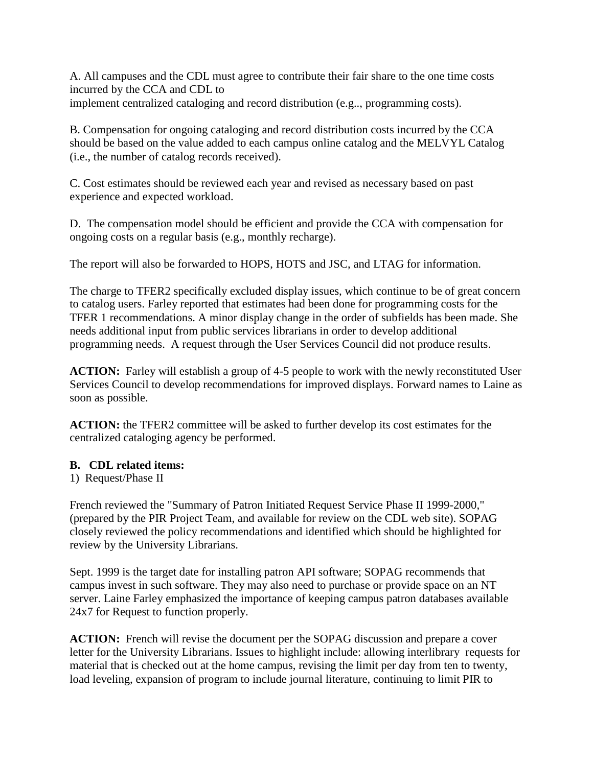A. All campuses and the CDL must agree to contribute their fair share to the one time costs incurred by the CCA and CDL to implement centralized cataloging and record distribution (e.g.., programming costs).

B. Compensation for ongoing cataloging and record distribution costs incurred by the CCA should be based on the value added to each campus online catalog and the MELVYL Catalog (i.e., the number of catalog records received).

C. Cost estimates should be reviewed each year and revised as necessary based on past experience and expected workload.

D. The compensation model should be efficient and provide the CCA with compensation for ongoing costs on a regular basis (e.g., monthly recharge).

The report will also be forwarded to HOPS, HOTS and JSC, and LTAG for information.

The charge to TFER2 specifically excluded display issues, which continue to be of great concern to catalog users. Farley reported that estimates had been done for programming costs for the TFER 1 recommendations. A minor display change in the order of subfields has been made. She needs additional input from public services librarians in order to develop additional programming needs. A request through the User Services Council did not produce results.

**ACTION:** Farley will establish a group of 4-5 people to work with the newly reconstituted User Services Council to develop recommendations for improved displays. Forward names to Laine as soon as possible.

**ACTION:** the TFER2 committee will be asked to further develop its cost estimates for the centralized cataloging agency be performed.

### **B. CDL related items:**

1) Request/Phase II

French reviewed the "Summary of Patron Initiated Request Service Phase II 1999-2000," (prepared by the PIR Project Team, and available for review on the CDL web site). SOPAG closely reviewed the policy recommendations and identified which should be highlighted for review by the University Librarians.

Sept. 1999 is the target date for installing patron API software; SOPAG recommends that campus invest in such software. They may also need to purchase or provide space on an NT server. Laine Farley emphasized the importance of keeping campus patron databases available 24x7 for Request to function properly.

**ACTION:** French will revise the document per the SOPAG discussion and prepare a cover letter for the University Librarians. Issues to highlight include: allowing interlibrary requests for material that is checked out at the home campus, revising the limit per day from ten to twenty, load leveling, expansion of program to include journal literature, continuing to limit PIR to